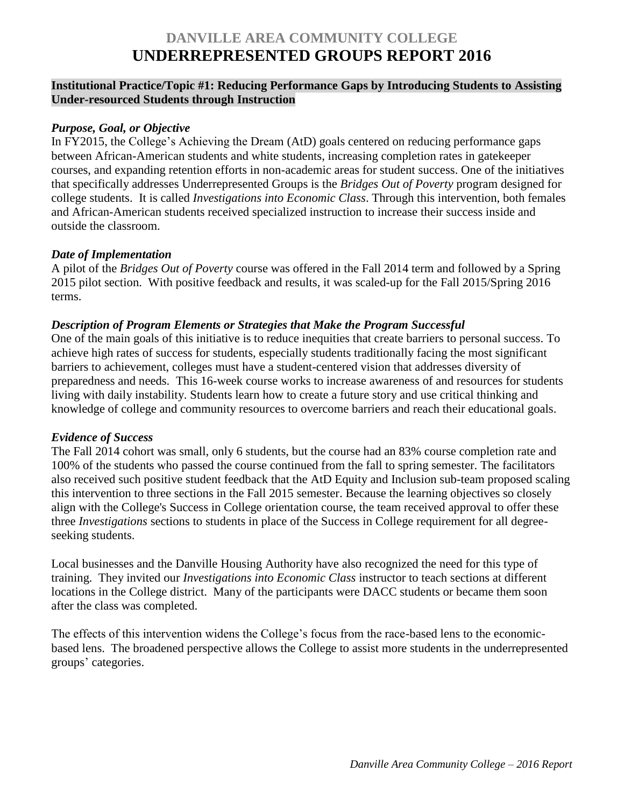# **DANVILLE AREA COMMUNITY COLLEGE UNDERREPRESENTED GROUPS REPORT 2016**

## **Institutional Practice/Topic #1: Reducing Performance Gaps by Introducing Students to Assisting Under-resourced Students through Instruction**

#### *Purpose, Goal, or Objective*

In FY2015, the College's Achieving the Dream (AtD) goals centered on reducing performance gaps between African-American students and white students, increasing completion rates in gatekeeper courses, and expanding retention efforts in non-academic areas for student success. One of the initiatives that specifically addresses Underrepresented Groups is the *Bridges Out of Poverty* program designed for college students. It is called *Investigations into Economic Class*. Through this intervention, both females and African-American students received specialized instruction to increase their success inside and outside the classroom.

#### *Date of Implementation*

A pilot of the *Bridges Out of Poverty* course was offered in the Fall 2014 term and followed by a Spring 2015 pilot section. With positive feedback and results, it was scaled-up for the Fall 2015/Spring 2016 terms.

## *Description of Program Elements or Strategies that Make the Program Successful*

One of the main goals of this initiative is to reduce inequities that create barriers to personal success. To achieve high rates of success for students, especially students traditionally facing the most significant barriers to achievement, colleges must have a student-centered vision that addresses diversity of preparedness and needs. This 16-week course works to increase awareness of and resources for students living with daily instability. Students learn how to create a future story and use critical thinking and knowledge of college and community resources to overcome barriers and reach their educational goals.

#### *Evidence of Success*

The Fall 2014 cohort was small, only 6 students, but the course had an 83% course completion rate and 100% of the students who passed the course continued from the fall to spring semester. The facilitators also received such positive student feedback that the AtD Equity and Inclusion sub-team proposed scaling this intervention to three sections in the Fall 2015 semester. Because the learning objectives so closely align with the College's Success in College orientation course, the team received approval to offer these three *Investigations* sections to students in place of the Success in College requirement for all degreeseeking students.

Local businesses and the Danville Housing Authority have also recognized the need for this type of training. They invited our *Investigations into Economic Class* instructor to teach sections at different locations in the College district. Many of the participants were DACC students or became them soon after the class was completed.

The effects of this intervention widens the College's focus from the race-based lens to the economicbased lens. The broadened perspective allows the College to assist more students in the underrepresented groups' categories.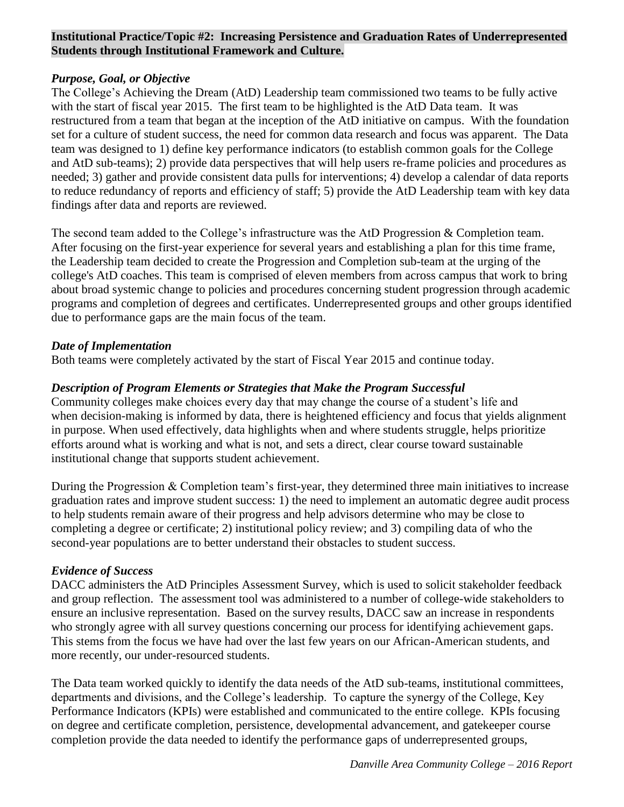# **Institutional Practice/Topic #2: Increasing Persistence and Graduation Rates of Underrepresented Students through Institutional Framework and Culture.**

# *Purpose, Goal, or Objective*

The College's Achieving the Dream (AtD) Leadership team commissioned two teams to be fully active with the start of fiscal year 2015. The first team to be highlighted is the AtD Data team. It was restructured from a team that began at the inception of the AtD initiative on campus. With the foundation set for a culture of student success, the need for common data research and focus was apparent. The Data team was designed to 1) define key performance indicators (to establish common goals for the College and AtD sub-teams); 2) provide data perspectives that will help users re-frame policies and procedures as needed; 3) gather and provide consistent data pulls for interventions; 4) develop a calendar of data reports to reduce redundancy of reports and efficiency of staff; 5) provide the AtD Leadership team with key data findings after data and reports are reviewed.

The second team added to the College's infrastructure was the AtD Progression & Completion team. After focusing on the first-year experience for several years and establishing a plan for this time frame, the Leadership team decided to create the Progression and Completion sub-team at the urging of the college's AtD coaches. This team is comprised of eleven members from across campus that work to bring about broad systemic change to policies and procedures concerning student progression through academic programs and completion of degrees and certificates. Underrepresented groups and other groups identified due to performance gaps are the main focus of the team.

## *Date of Implementation*

Both teams were completely activated by the start of Fiscal Year 2015 and continue today.

## *Description of Program Elements or Strategies that Make the Program Successful*

Community colleges make choices every day that may change the course of a student's life and when decision-making is informed by data, there is heightened efficiency and focus that yields alignment in purpose. When used effectively, data highlights when and where students struggle, helps prioritize efforts around what is working and what is not, and sets a direct, clear course toward sustainable institutional change that supports student achievement.

During the Progression & Completion team's first-year, they determined three main initiatives to increase graduation rates and improve student success: 1) the need to implement an automatic degree audit process to help students remain aware of their progress and help advisors determine who may be close to completing a degree or certificate; 2) institutional policy review; and 3) compiling data of who the second-year populations are to better understand their obstacles to student success.

# *Evidence of Success*

DACC administers the AtD Principles Assessment Survey, which is used to solicit stakeholder feedback and group reflection. The assessment tool was administered to a number of college-wide stakeholders to ensure an inclusive representation. Based on the survey results, DACC saw an increase in respondents who strongly agree with all survey questions concerning our process for identifying achievement gaps. This stems from the focus we have had over the last few years on our African-American students, and more recently, our under-resourced students.

The Data team worked quickly to identify the data needs of the AtD sub-teams, institutional committees, departments and divisions, and the College's leadership. To capture the synergy of the College, Key Performance Indicators (KPIs) were established and communicated to the entire college. KPIs focusing on degree and certificate completion, persistence, developmental advancement, and gatekeeper course completion provide the data needed to identify the performance gaps of underrepresented groups,